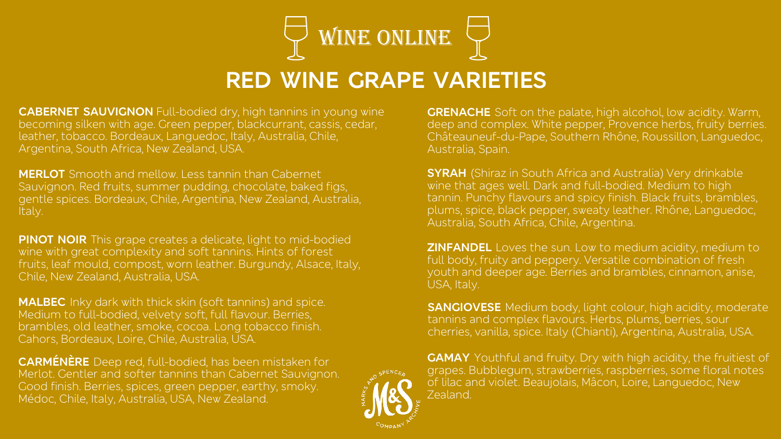

## **RED WINE GRAPE VARIETIES**

**CABERNET SAUVIGNON** Full-bodied dry, high tannins in young wine becoming silken with age. Green pepper, blackcurrant, cassis, cedar, leather, tobacco. Bordeaux, Languedoc, Italy, Australia, Chile, Argentina, South Africa, New Zealand, USA.

**MERLOT** Smooth and mellow. Less tannin than Cabernet Sauvignon. Red fruits, summer pudding, chocolate, baked figs, gentle spices. Bordeaux, Chile, Argentina, New Zealand, Australia, Italy.

**PINOT NOIR** This grape creates a delicate, light to mid-bodied wine with great complexity and soft tannins. Hints of forest fruits, leaf mould, compost, worn leather. Burgundy, Alsace, Italy, Chile, New Zealand, Australia, USA.

**MALBEC** Inky dark with thick skin (soft tannins) and spice. Medium to full-bodied, velvety soft, full flavour. Berries, brambles, old leather, smoke, cocoa. Long tobacco finish. Cahors, Bordeaux, Loire, Chile, Australia, USA.

**CARMÉNÈRE** Deep red, full-bodied, has been mistaken for Merlot. Gentler and softer tannins than Cabernet Sauvignon. Good finish. Berries, spices, green pepper, earthy, smoky. Médoc, Chile, Italy, Australia, USA, New Zealand.

**GRENACHE** Soft on the palate, high alcohol, low acidity. Warm, deep and complex. White pepper, Provence herbs, fruity berries. Châteauneuf-du-Pape, Southern Rhône, Roussillon, Languedoc, Australia, Spain.

**SYRAH** (Shiraz in South Africa and Australia) Very drinkable wine that ages well. Dark and full-bodied. Medium to high tannin. Punchy flavours and spicy finish. Black fruits, brambles, plums, spice, black pepper, sweaty leather. Rhône, Languedoc, Australia, South Africa, Chile, Argentina.

**ZINFANDEL** Loves the sun. Low to medium acidity, medium to full body, fruity and peppery. Versatile combination of fresh youth and deeper age. Berries and brambles, cinnamon, anise, USA, Italy.

**SANGIOVESE** Medium body, light colour, high acidity, moderate tannins and complex flavours. Herbs, plums, berries, sour cherries, vanilla, spice. Italy (Chianti), Argentina, Australia, USA.

**GAMAY** Youthful and fruity. Dry with high acidity, the fruitiest of grapes. Bubblegum, strawberries, raspberries, some floral notes of lilac and violet. Beaujolais, Mâcon, Loire, Languedoc, New Zealand.